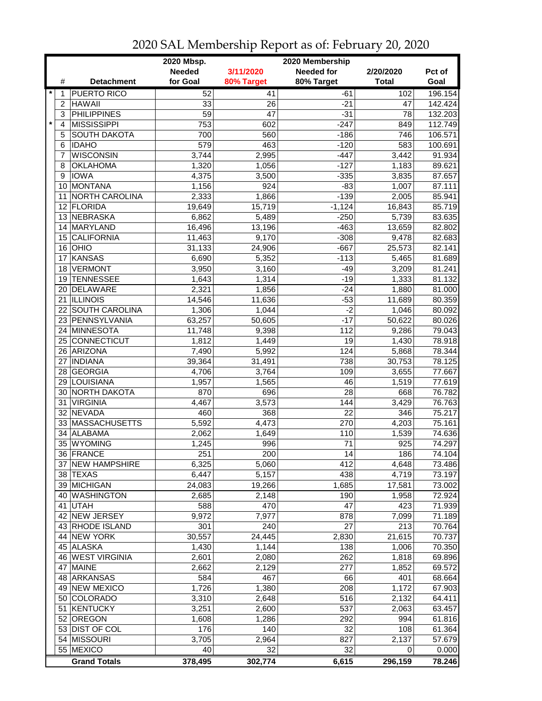|                    |                     | 2020 Mbsp.<br>2020 Membership |                 |                   |                 |         |  |  |
|--------------------|---------------------|-------------------------------|-----------------|-------------------|-----------------|---------|--|--|
|                    |                     | <b>Needed</b>                 | 3/11/2020       | <b>Needed for</b> | 2/20/2020       | Pct of  |  |  |
| #                  | <b>Detachment</b>   | for Goal                      | 80% Target      | 80% Target        | <b>Total</b>    | Goal    |  |  |
| $\star$<br>1       | <b>PUERTO RICO</b>  | 52                            | 41              | -61               | 102             | 196.154 |  |  |
| 2                  | <b>HAWAII</b>       | 33                            | 26              | -21               | 47              | 142.424 |  |  |
| 3                  | <b>PHILIPPINES</b>  | $\overline{59}$               | $\overline{47}$ | $-31$             | $\overline{78}$ | 132.203 |  |  |
| $\pmb{\star}$<br>4 | <b>MISSISSIPPI</b>  | 753                           | 602             | $-247$            | 849             | 112.749 |  |  |
| 5                  | <b>SOUTH DAKOTA</b> | 700                           | 560             | $-186$            | 746             | 106.571 |  |  |
| 6                  | <b>IDAHO</b>        | 579                           | 463             | $-120$            | 583             | 100.691 |  |  |
| 7                  | <b>WISCONSIN</b>    | 3,744                         | 2,995           | $-447$            | 3,442           | 91.934  |  |  |
| 8                  | <b>OKLAHOMA</b>     | 1,320                         | 1,056           | $-127$            | 1,183           | 89.621  |  |  |
| 9                  | <b>IOWA</b>         | 4,375                         | 3,500           | $-335$            | 3,835           | 87.657  |  |  |
| 10                 | MONTANA             | 1,156                         | 924             | $-83$             | 1,007           | 87.111  |  |  |
| 11                 | NORTH CAROLINA      |                               |                 | $-139$            | 2,005           | 85.941  |  |  |
|                    |                     | 2,333                         | 1,866           |                   |                 |         |  |  |
|                    | 12 FLORIDA          | 19,649                        | 15,719          | $-1,124$          | 16,843          | 85.719  |  |  |
| 13                 | <b>NEBRASKA</b>     | 6,862                         | 5,489           | $-250$            | 5,739           | 83.635  |  |  |
|                    | 14 MARYLAND         | 16,496                        | 13,196          | $-463$            | 13,659          | 82.802  |  |  |
| 15                 | CALIFORNIA          | 11,463                        | 9,170           | $-308$            | 9,478           | 82.683  |  |  |
|                    | 16 OHIO             | 31,133                        | 24,906          | $-667$            | 25,573          | 82.141  |  |  |
| 17                 | <b>KANSAS</b>       | 6,690                         | 5,352           | $-113$            | 5,465           | 81.689  |  |  |
| 18                 | <b>VERMONT</b>      | 3,950                         | 3,160           | $-49$             | 3,209           | 81.241  |  |  |
| 19                 | <b>TENNESSEE</b>    | 1,643                         | 1,314           | $-19$             | 1,333           | 81.132  |  |  |
|                    | 20 DELAWARE         | 2,321                         | 1,856           | $-24$             | 1,880           | 81.000  |  |  |
|                    | 21  ILLINOIS        | 14,546                        | 11,636          | $-53$             | 11,689          | 80.359  |  |  |
|                    | 22 SOUTH CAROLINA   | 1,306                         | 1,044           | $-2$              | 1,046           | 80.092  |  |  |
|                    | 23 PENNSYLVANIA     | 63,257                        | 50,605          | $-17$             | 50,622          | 80.026  |  |  |
|                    | 24 MINNESOTA        | 11,748                        | 9,398           | $\overline{112}$  | 9,286           | 79.043  |  |  |
|                    | 25 CONNECTICUT      | 1,812                         | 1,449           | $\overline{19}$   | 1,430           | 78.918  |  |  |
|                    | 26 ARIZONA          | 7,490                         | 5,992           | 124               | 5,868           | 78.344  |  |  |
| 27                 | <b>INDIANA</b>      | 39,364                        | 31,491          | 738               | 30,753          | 78.125  |  |  |
|                    | 28 GEORGIA          | 4,706                         | 3,764           | 109               | 3,655           | 77.667  |  |  |
| 29                 | LOUISIANA           | 1,957                         | 1,565           | 46                | 1,519           | 77.619  |  |  |
|                    | 30 NORTH DAKOTA     | 870                           | 696             | 28                | 668             | 76.782  |  |  |
| 31                 | <b>VIRGINIA</b>     | 4,467                         | 3,573           | 144               | 3,429           | 76.763  |  |  |
|                    | 32 NEVADA           | 460                           | 368             | 22                | 346             | 75.217  |  |  |
|                    | 33 MASSACHUSETTS    | 5,592                         | 4,473           | 270               | 4,203           | 75.161  |  |  |
| 34                 | ALABAMA             | 2,062                         | 1,649           | 110               | 1,539           | 74.636  |  |  |
|                    | 35 WYOMING          | 1,245                         | 996             | 71                | 925             | 74.297  |  |  |
|                    | 36 FRANCE           | 251                           | 200             | 14                | 186             | 74.104  |  |  |
|                    | 37 NEW HAMPSHIRE    | 6,325                         | 5,060           | 412               | 4,648           | 73.486  |  |  |
|                    | 38 TEXAS            | 6,447                         | 5,157           | 438               | 4,719           | 73.197  |  |  |
|                    | 39 MICHIGAN         | 24,083                        | 19,266          | 1,685             | 17,581          | 73.002  |  |  |
|                    | 40 WASHINGTON       | 2,685                         | 2,148           | 190               | 1,958           | 72.924  |  |  |
|                    | 41 UTAH             | 588                           | 470             | 47                | 423             | 71.939  |  |  |
|                    | 42 NEW JERSEY       | 9,972                         | 7,977           | 878               | 7,099           | 71.189  |  |  |
|                    | 43 RHODE ISLAND     | 301                           | 240             | $\overline{27}$   | 213             | 70.764  |  |  |
|                    | 44 NEW YORK         | 30,557                        | 24,445          | 2,830             | 21,615          | 70.737  |  |  |
|                    | 45 ALASKA           | 1,430                         | 1,144           | 138               | 1,006           | 70.350  |  |  |
|                    | 46 WEST VIRGINIA    | 2,601                         | 2,080           | 262               | 1,818           | 69.896  |  |  |
|                    | 47 MAINE            | 2,662                         | 2,129           | 277               | 1,852           | 69.572  |  |  |
|                    | 48 ARKANSAS         | 584                           | 467             | 66                | 401             | 68.664  |  |  |
|                    | 49 NEW MEXICO       | 1,726                         | 1,380           | 208               | 1,172           | 67.903  |  |  |
|                    |                     |                               |                 |                   |                 |         |  |  |
|                    | 50 COLORADO         | 3,310                         | 2,648           | 516               | 2,132           | 64.411  |  |  |
| 51                 | <b>KENTUCKY</b>     | 3,251                         | 2,600           | 537               | 2,063           | 63.457  |  |  |
|                    | 52 OREGON           | 1,608                         | 1,286           | 292               | 994             | 61.816  |  |  |
|                    | 53 DIST OF COL      | 176                           | 140             | 32                | 108             | 61.364  |  |  |
|                    | 54 MISSOURI         | 3,705                         | 2,964           | 827               | 2,137           | 57.679  |  |  |
|                    | 55 MEXICO           | 40                            | 32              | 32                | 0               | 0.000   |  |  |
|                    | <b>Grand Totals</b> | 378,495                       | 302,774         | 6,615             | 296,159         | 78.246  |  |  |

2020 SAL Membership Report as of: February 20, 2020